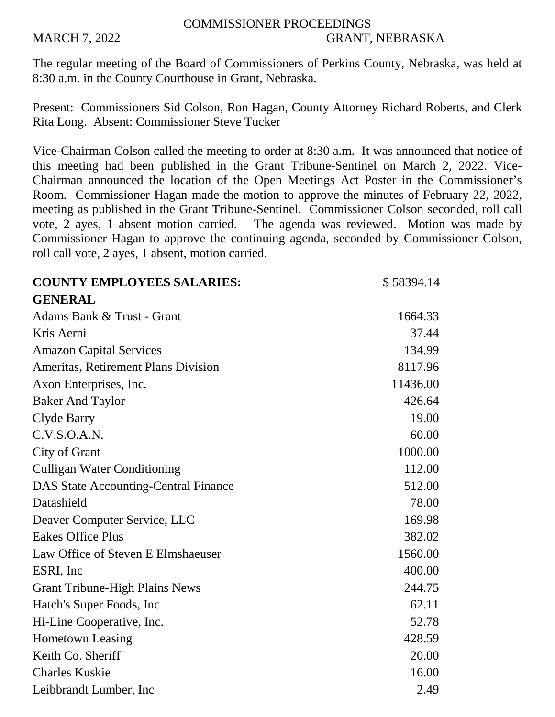## COMMISSIONER PROCEEDINGS MARCH 7, 2022 GRANT, NEBRASKA

The regular meeting of the Board of Commissioners of Perkins County, Nebraska, was held at 8:30 a.m. in the County Courthouse in Grant, Nebraska.

Present: Commissioners Sid Colson, Ron Hagan, County Attorney Richard Roberts, and Clerk Rita Long. Absent: Commissioner Steve Tucker

Vice-Chairman Colson called the meeting to order at 8:30 a.m. It was announced that notice of this meeting had been published in the Grant Tribune-Sentinel on March 2, 2022. Vice-Chairman announced the location of the Open Meetings Act Poster in the Commissioner's Room. Commissioner Hagan made the motion to approve the minutes of February 22, 2022, meeting as published in the Grant Tribune-Sentinel. Commissioner Colson seconded, roll call vote, 2 ayes, 1 absent motion carried. The agenda was reviewed. Motion was made by Commissioner Hagan to approve the continuing agenda, seconded by Commissioner Colson, roll call vote, 2 ayes, 1 absent, motion carried.

| <b>COUNTY EMPLOYEES SALARIES:</b>           | \$58394.14 |
|---------------------------------------------|------------|
| <b>GENERAL</b>                              |            |
| Adams Bank & Trust - Grant                  | 1664.33    |
| Kris Aerni                                  | 37.44      |
| <b>Amazon Capital Services</b>              | 134.99     |
| Ameritas, Retirement Plans Division         | 8117.96    |
| Axon Enterprises, Inc.                      | 11436.00   |
| <b>Baker And Taylor</b>                     | 426.64     |
| Clyde Barry                                 | 19.00      |
| C.V.S.O.A.N.                                | 60.00      |
| City of Grant                               | 1000.00    |
| <b>Culligan Water Conditioning</b>          | 112.00     |
| <b>DAS State Accounting-Central Finance</b> | 512.00     |
| Datashield                                  | 78.00      |
| Deaver Computer Service, LLC                | 169.98     |
| <b>Eakes Office Plus</b>                    | 382.02     |
| Law Office of Steven E Elmshaeuser          | 1560.00    |
| ESRI, Inc                                   | 400.00     |
| <b>Grant Tribune-High Plains News</b>       | 244.75     |
| Hatch's Super Foods, Inc.                   | 62.11      |
| Hi-Line Cooperative, Inc.                   | 52.78      |
| <b>Hometown Leasing</b>                     | 428.59     |
| Keith Co. Sheriff                           | 20.00      |
| <b>Charles Kuskie</b>                       | 16.00      |
| Leibbrandt Lumber, Inc.                     | 2.49       |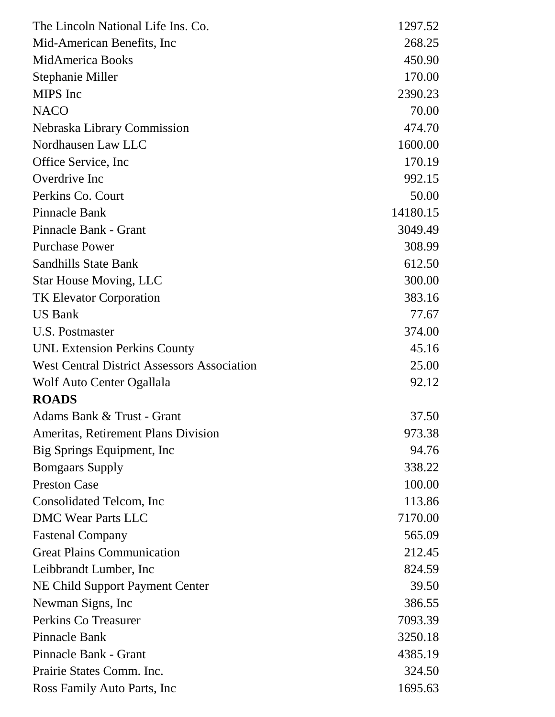| The Lincoln National Life Ins. Co.                 | 1297.52  |
|----------------------------------------------------|----------|
| Mid-American Benefits, Inc.                        | 268.25   |
| <b>MidAmerica Books</b>                            | 450.90   |
| Stephanie Miller                                   | 170.00   |
| <b>MIPS</b> Inc                                    | 2390.23  |
| <b>NACO</b>                                        | 70.00    |
| Nebraska Library Commission                        | 474.70   |
| Nordhausen Law LLC                                 | 1600.00  |
| Office Service, Inc.                               | 170.19   |
| Overdrive Inc                                      | 992.15   |
| Perkins Co. Court                                  | 50.00    |
| Pinnacle Bank                                      | 14180.15 |
| Pinnacle Bank - Grant                              | 3049.49  |
| <b>Purchase Power</b>                              | 308.99   |
| <b>Sandhills State Bank</b>                        | 612.50   |
| <b>Star House Moving, LLC</b>                      | 300.00   |
| <b>TK Elevator Corporation</b>                     | 383.16   |
| <b>US Bank</b>                                     | 77.67    |
| <b>U.S. Postmaster</b>                             | 374.00   |
| <b>UNL Extension Perkins County</b>                | 45.16    |
| <b>West Central District Assessors Association</b> | 25.00    |
| Wolf Auto Center Ogallala                          | 92.12    |
| <b>ROADS</b>                                       |          |
| Adams Bank & Trust - Grant                         | 37.50    |
| Ameritas, Retirement Plans Division                | 973.38   |
| Big Springs Equipment, Inc.                        | 94.76    |
| <b>Bomgaars Supply</b>                             | 338.22   |
| <b>Preston Case</b>                                | 100.00   |
| Consolidated Telcom, Inc.                          | 113.86   |
| <b>DMC Wear Parts LLC</b>                          | 7170.00  |
| <b>Fastenal Company</b>                            | 565.09   |
| <b>Great Plains Communication</b>                  | 212.45   |
| Leibbrandt Lumber, Inc.                            | 824.59   |
| NE Child Support Payment Center                    | 39.50    |
| Newman Signs, Inc.                                 | 386.55   |
| Perkins Co Treasurer                               | 7093.39  |
| Pinnacle Bank                                      | 3250.18  |
| Pinnacle Bank - Grant                              | 4385.19  |
| Prairie States Comm. Inc.                          | 324.50   |
| Ross Family Auto Parts, Inc.                       | 1695.63  |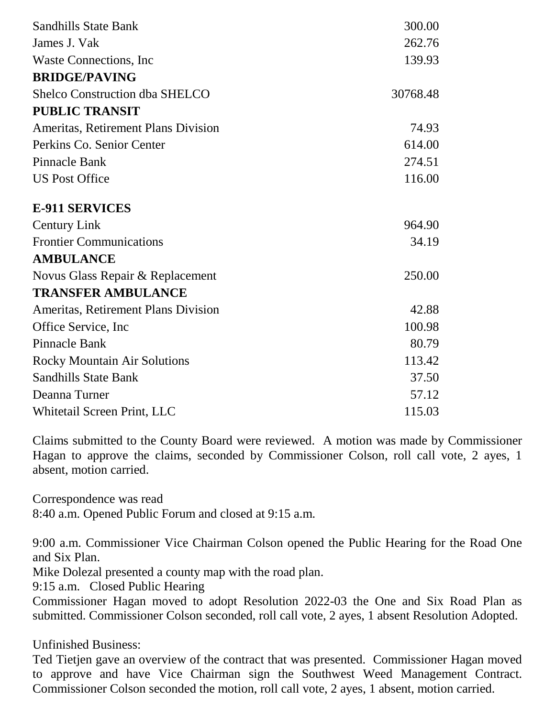| <b>Sandhills State Bank</b>                | 300.00   |
|--------------------------------------------|----------|
| James J. Vak                               | 262.76   |
| Waste Connections, Inc.                    | 139.93   |
| <b>BRIDGE/PAVING</b>                       |          |
| <b>Shelco Construction dba SHELCO</b>      | 30768.48 |
| <b>PUBLIC TRANSIT</b>                      |          |
| Ameritas, Retirement Plans Division        | 74.93    |
| Perkins Co. Senior Center                  | 614.00   |
| <b>Pinnacle Bank</b>                       | 274.51   |
| <b>US Post Office</b>                      | 116.00   |
| <b>E-911 SERVICES</b>                      |          |
| <b>Century Link</b>                        | 964.90   |
| <b>Frontier Communications</b>             | 34.19    |
| <b>AMBULANCE</b>                           |          |
| Novus Glass Repair & Replacement           | 250.00   |
| <b>TRANSFER AMBULANCE</b>                  |          |
| <b>Ameritas, Retirement Plans Division</b> | 42.88    |
| Office Service, Inc.                       | 100.98   |
| <b>Pinnacle Bank</b>                       | 80.79    |
| <b>Rocky Mountain Air Solutions</b>        | 113.42   |
| <b>Sandhills State Bank</b>                | 37.50    |
| Deanna Turner                              | 57.12    |
| Whitetail Screen Print, LLC                | 115.03   |

Claims submitted to the County Board were reviewed. A motion was made by Commissioner Hagan to approve the claims, seconded by Commissioner Colson, roll call vote, 2 ayes, 1 absent, motion carried.

Correspondence was read 8:40 a.m. Opened Public Forum and closed at 9:15 a.m.

9:00 a.m. Commissioner Vice Chairman Colson opened the Public Hearing for the Road One and Six Plan.

Mike Dolezal presented a county map with the road plan.

9:15 a.m. Closed Public Hearing

Commissioner Hagan moved to adopt Resolution 2022-03 the One and Six Road Plan as submitted. Commissioner Colson seconded, roll call vote, 2 ayes, 1 absent Resolution Adopted.

Unfinished Business:

Ted Tietjen gave an overview of the contract that was presented. Commissioner Hagan moved to approve and have Vice Chairman sign the Southwest Weed Management Contract. Commissioner Colson seconded the motion, roll call vote, 2 ayes, 1 absent, motion carried.